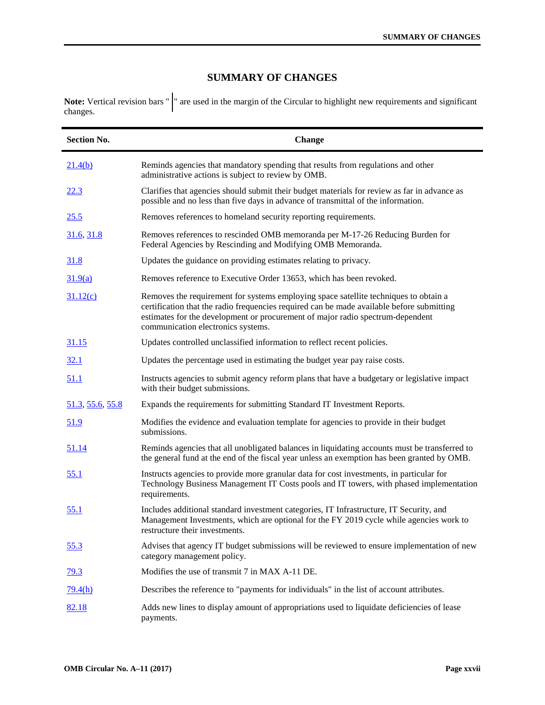## **SUMMARY OF CHANGES**

**Note:** Vertical revision bars " |" are used in the margin of the Circular to highlight new requirements and significant changes.

| <b>Section No.</b>      | <b>Change</b>                                                                                                                                                                                                                                                                                             |
|-------------------------|-----------------------------------------------------------------------------------------------------------------------------------------------------------------------------------------------------------------------------------------------------------------------------------------------------------|
| 21.4(b)                 | Reminds agencies that mandatory spending that results from regulations and other<br>administrative actions is subject to review by OMB.                                                                                                                                                                   |
| 22.3                    | Clarifies that agencies should submit their budget materials for review as far in advance as<br>possible and no less than five days in advance of transmittal of the information.                                                                                                                         |
| 25.5                    | Removes references to homeland security reporting requirements.                                                                                                                                                                                                                                           |
| 31.6, 31.8              | Removes references to rescinded OMB memoranda per M-17-26 Reducing Burden for<br>Federal Agencies by Rescinding and Modifying OMB Memoranda.                                                                                                                                                              |
| 31.8                    | Updates the guidance on providing estimates relating to privacy.                                                                                                                                                                                                                                          |
| 31.9(a)                 | Removes reference to Executive Order 13653, which has been revoked.                                                                                                                                                                                                                                       |
| 31.12(c)                | Removes the requirement for systems employing space satellite techniques to obtain a<br>certification that the radio frequencies required can be made available before submitting<br>estimates for the development or procurement of major radio spectrum-dependent<br>communication electronics systems. |
| <u>31.15</u>            | Updates controlled unclassified information to reflect recent policies.                                                                                                                                                                                                                                   |
| 32.1                    | Updates the percentage used in estimating the budget year pay raise costs.                                                                                                                                                                                                                                |
| 51.1                    | Instructs agencies to submit agency reform plans that have a budgetary or legislative impact<br>with their budget submissions.                                                                                                                                                                            |
| <u>51.3, 55.6, 55.8</u> | Expands the requirements for submitting Standard IT Investment Reports.                                                                                                                                                                                                                                   |
| 51.9                    | Modifies the evidence and evaluation template for agencies to provide in their budget<br>submissions.                                                                                                                                                                                                     |
| <u>51.14</u>            | Reminds agencies that all unobligated balances in liquidating accounts must be transferred to<br>the general fund at the end of the fiscal year unless an exemption has been granted by OMB.                                                                                                              |
| 55.1                    | Instructs agencies to provide more granular data for cost investments, in particular for<br>Technology Business Management IT Costs pools and IT towers, with phased implementation<br>requirements.                                                                                                      |
| <u>55.1</u>             | Includes additional standard investment categories, IT Infrastructure, IT Security, and<br>Management Investments, which are optional for the FY 2019 cycle while agencies work to<br>restructure their investments.                                                                                      |
| <u>55.3</u>             | Advises that agency IT budget submissions will be reviewed to ensure implementation of new<br>category management policy.                                                                                                                                                                                 |
| <u>79.3</u>             | Modifies the use of transmit 7 in MAX A-11 DE.                                                                                                                                                                                                                                                            |
| 79.4(h)                 | Describes the reference to "payments for individuals" in the list of account attributes.                                                                                                                                                                                                                  |
| 82.18                   | Adds new lines to display amount of appropriations used to liquidate deficiencies of lease<br>payments.                                                                                                                                                                                                   |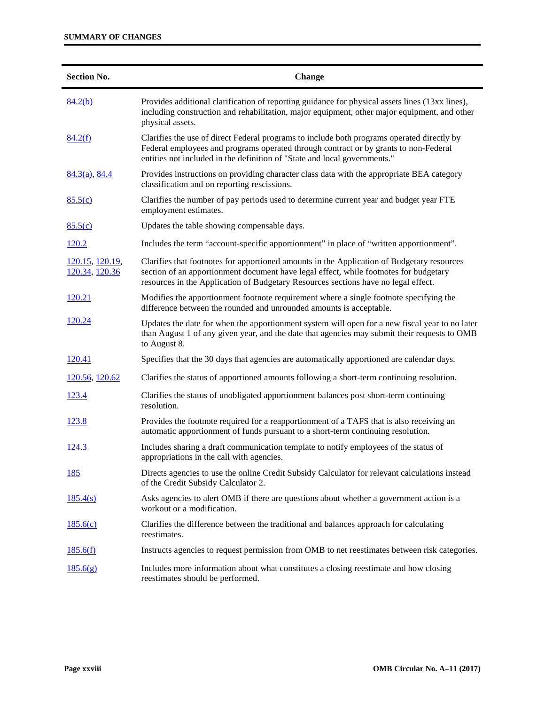## **SUMMARY OF CHANGES**

| <b>Section No.</b>                        | Change                                                                                                                                                                                                                                                                    |
|-------------------------------------------|---------------------------------------------------------------------------------------------------------------------------------------------------------------------------------------------------------------------------------------------------------------------------|
| 84.2(b)                                   | Provides additional clarification of reporting guidance for physical assets lines (13xx lines),<br>including construction and rehabilitation, major equipment, other major equipment, and other<br>physical assets.                                                       |
| 84.2(f)                                   | Clarifies the use of direct Federal programs to include both programs operated directly by<br>Federal employees and programs operated through contract or by grants to non-Federal<br>entities not included in the definition of "State and local governments."           |
| $84.3(a)$ , $84.4$                        | Provides instructions on providing character class data with the appropriate BEA category<br>classification and on reporting rescissions.                                                                                                                                 |
| 85.5(c)                                   | Clarifies the number of pay periods used to determine current year and budget year FTE<br>employment estimates.                                                                                                                                                           |
| 85.5(c)                                   | Updates the table showing compensable days.                                                                                                                                                                                                                               |
| <u>120.2</u>                              | Includes the term "account-specific apportionment" in place of "written apportionment".                                                                                                                                                                                   |
| <u>120.15, 120.19</u> ,<br>120.34, 120.36 | Clarifies that footnotes for apportioned amounts in the Application of Budgetary resources<br>section of an apportionment document have legal effect, while footnotes for budgetary<br>resources in the Application of Budgetary Resources sections have no legal effect. |
| 120.21                                    | Modifies the apportionment footnote requirement where a single footnote specifying the<br>difference between the rounded and unrounded amounts is acceptable.                                                                                                             |
| 120.24                                    | Updates the date for when the apportionment system will open for a new fiscal year to no later<br>than August 1 of any given year, and the date that agencies may submit their requests to OMB<br>to August 8.                                                            |
| <u>120.41</u>                             | Specifies that the 30 days that agencies are automatically apportioned are calendar days.                                                                                                                                                                                 |
| 120.56, 120.62                            | Clarifies the status of apportioned amounts following a short-term continuing resolution.                                                                                                                                                                                 |
| <u>123.4</u>                              | Clarifies the status of unobligated apportionment balances post short-term continuing<br>resolution.                                                                                                                                                                      |
| <u>123.8</u>                              | Provides the footnote required for a reapportionment of a TAFS that is also receiving an<br>automatic apportionment of funds pursuant to a short-term continuing resolution.                                                                                              |
| <u>124.3</u>                              | Includes sharing a draft communication template to notify employees of the status of<br>appropriations in the call with agencies.                                                                                                                                         |
| <u>185</u>                                | Directs agencies to use the online Credit Subsidy Calculator for relevant calculations instead<br>of the Credit Subsidy Calculator 2.                                                                                                                                     |
| 185.4(s)                                  | Asks agencies to alert OMB if there are questions about whether a government action is a<br>workout or a modification.                                                                                                                                                    |
| 185.6(c)                                  | Clarifies the difference between the traditional and balances approach for calculating<br>reestimates.                                                                                                                                                                    |
| 185.6(f)                                  | Instructs agencies to request permission from OMB to net reestimates between risk categories.                                                                                                                                                                             |
| 185.6(g)                                  | Includes more information about what constitutes a closing reestimate and how closing<br>reestimates should be performed.                                                                                                                                                 |